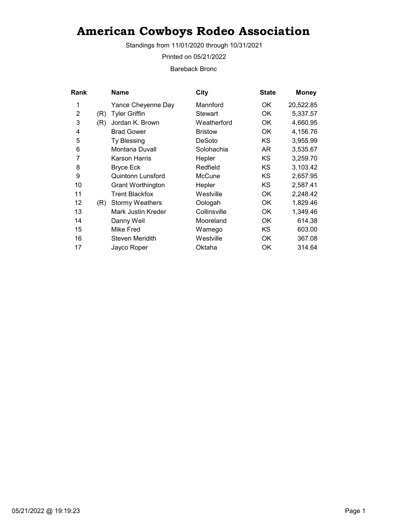Standings from 11/01/2020 through 10/31/2021

Printed on 05/21/2022

Bareback Bronc

| Rank |     | <b>Name</b>               | City           | <b>State</b> | <b>Money</b> |
|------|-----|---------------------------|----------------|--------------|--------------|
| 1    |     | Yance Cheyenne Day        | Mannford       | OK.          | 20,522.85    |
| 2    | (R) | <b>Tyler Griffin</b>      | <b>Stewart</b> | OK.          | 5,337.57     |
| 3    | (R) | Jordan K. Brown           | Weatherford    | ОK           | 4,660.95     |
| 4    |     | <b>Brad Gower</b>         | <b>Bristow</b> | ОK           | 4,156.76     |
| 5    |     | Ty Blessing               | DeSoto         | KS           | 3,955.99     |
| 6    |     | Montana Duvall            | Solohachia     | AR           | 3,535.67     |
| 7    |     | Karson Harris             | Hepler         | KS           | 3,259.70     |
| 8    |     | <b>Bryce Eck</b>          | Redfield       | KS.          | 3,103.42     |
| 9    |     | Quintonn Lunsford         | McCune         | KS.          | 2,657.95     |
| 10   |     | <b>Grant Worthington</b>  | Hepler         | KS.          | 2,587.41     |
| 11   |     | <b>Trent Blackfox</b>     | Westville      | OK           | 2,248.42     |
| 12   | (R) | <b>Stormy Weathers</b>    | Oologah        | OK           | 1,829.46     |
| 13   |     | <b>Mark Justin Kreder</b> | Collinsville   | OK           | 1,349.46     |
| 14   |     | Danny Weil                | Mooreland      | OK           | 614.38       |
| 15   |     | Mike Fred                 | Wamego         | KS.          | 603.00       |
| 16   |     | <b>Steven Meridith</b>    | Westville      | OK           | 367.08       |
| 17   |     | Jayco Roper               | Oktaha         | ОK           | 314.64       |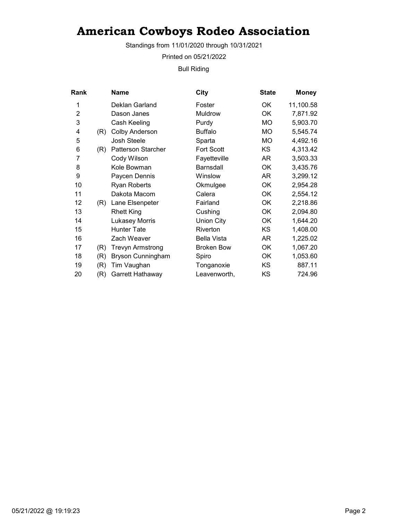Standings from 11/01/2020 through 10/31/2021

Printed on 05/21/2022

Bull Riding

| Rank           |     | Name                      | <b>City</b>        | <b>State</b> | <b>Money</b> |
|----------------|-----|---------------------------|--------------------|--------------|--------------|
| 1              |     | Deklan Garland            | Foster             | OK           | 11,100.58    |
| $\overline{2}$ |     | Dason Janes               | Muldrow            | OK           | 7,871.92     |
| 3              |     | Cash Keeling              | Purdy              | MO           | 5,903.70     |
| 4              | (R) | <b>Colby Anderson</b>     | <b>Buffalo</b>     | MO.          | 5,545.74     |
| 5              |     | Josh Steele               | Sparta             | MO           | 4,492.16     |
| 6              | (R) | <b>Patterson Starcher</b> | <b>Fort Scott</b>  | KS           | 4,313.42     |
| 7              |     | Cody Wilson               | Fayetteville       | AR           | 3,503.33     |
| 8              |     | Kole Bowman               | <b>Barnsdall</b>   | OK           | 3,435.76     |
| 9              |     | Paycen Dennis             | Winslow            | AR           | 3,299.12     |
| 10             |     | <b>Ryan Roberts</b>       | Okmulgee           | OK           | 2,954.28     |
| 11             |     | Dakota Macom              | Calera             | OK           | 2,554.12     |
| 12             | (R) | Lane Elsenpeter           | Fairland           | OK           | 2,218.86     |
| 13             |     | <b>Rhett King</b>         | Cushing            | OK           | 2,094.80     |
| 14             |     | Lukasey Morris            | Union City         | OK           | 1,644.20     |
| 15             |     | Hunter Tate               | Riverton           | KS           | 1,408.00     |
| 16             |     | Zach Weaver               | <b>Bella Vista</b> | AR           | 1,225.02     |
| 17             | (R) | <b>Trevyn Armstrong</b>   | <b>Broken Bow</b>  | OK           | 1,067.20     |
| 18             | (R) | <b>Bryson Cunningham</b>  | Spiro              | OK           | 1,053.60     |
| 19             | (R) | Tim Vaughan               | Tonganoxie         | KS           | 887.11       |
| 20             | (R) | Garrett Hathaway          | Leavenworth,       | KS           | 724.96       |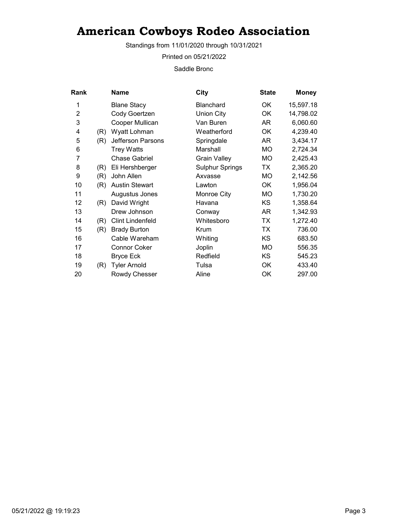Standings from 11/01/2020 through 10/31/2021

Printed on 05/21/2022

Saddle Bronc

| Rank           |     | Name                    | <b>City</b>            | <b>State</b> | <b>Money</b> |
|----------------|-----|-------------------------|------------------------|--------------|--------------|
| 1              |     | <b>Blane Stacy</b>      | <b>Blanchard</b>       | OK           | 15,597.18    |
| $\overline{2}$ |     | Cody Goertzen           | <b>Union City</b>      | OK           | 14,798.02    |
| 3              |     | Cooper Mullican         | Van Buren              | AR           | 6,060.60     |
| 4              | (R) | Wyatt Lohman            | Weatherford            | OK           | 4,239.40     |
| 5              | (R) | Jefferson Parsons       | Springdale             | AR           | 3,434.17     |
| 6              |     | <b>Trey Watts</b>       | Marshall               | <b>MO</b>    | 2,724.34     |
| 7              |     | <b>Chase Gabriel</b>    | <b>Grain Valley</b>    | MO           | 2,425.43     |
| 8              | (R) | Eli Hershberger         | <b>Sulphur Springs</b> | TX           | 2,365.20     |
| 9              | (R) | John Allen              | Axvasse                | <b>MO</b>    | 2,142.56     |
| 10             | (R) | <b>Austin Stewart</b>   | Lawton                 | <b>OK</b>    | 1,956.04     |
| 11             |     | Augustus Jones          | Monroe City            | MO           | 1,730.20     |
| 12             | (R) | David Wright            | Havana                 | KS.          | 1,358.64     |
| 13             |     | Drew Johnson            | Conway                 | AR           | 1,342.93     |
| 14             | (R) | <b>Clint Lindenfeld</b> | Whitesboro             | TX           | 1,272.40     |
| 15             | (R) | <b>Brady Burton</b>     | Krum                   | <b>TX</b>    | 736.00       |
| 16             |     | Cable Wareham           | Whiting                | KS           | 683.50       |
| 17             |     | <b>Connor Coker</b>     | Joplin                 | МO           | 556.35       |
| 18             |     | <b>Bryce Eck</b>        | Redfield               | KS           | 545.23       |
| 19             | (R) | <b>Tyler Arnold</b>     | Tulsa                  | OK           | 433.40       |
| 20             |     | Rowdy Chesser           | Aline                  | OK           | 297.00       |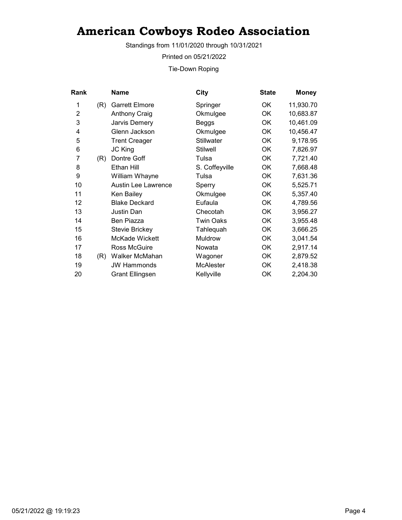Standings from 11/01/2020 through 10/31/2021

Printed on 05/21/2022

Tie-Down Roping

| Rank           |     | Name                       | City              | <b>State</b> | <b>Money</b> |
|----------------|-----|----------------------------|-------------------|--------------|--------------|
| 1              | (R) | <b>Garrett Elmore</b>      | Springer          | OK.          | 11,930.70    |
| $\overline{2}$ |     | <b>Anthony Craig</b>       | Okmulgee          | OK           | 10,683.87    |
| 3              |     | Jarvis Demery              | Beggs             | OK           | 10,461.09    |
| 4              |     | Glenn Jackson              | Okmulgee          | OK           | 10,456.47    |
| 5              |     | <b>Trent Creager</b>       | <b>Stillwater</b> | OK           | 9,178.95     |
| 6              |     | <b>JC King</b>             | <b>Stilwell</b>   | OK           | 7,826.97     |
| 7              | (R) | Dontre Goff                | Tulsa             | OK           | 7,721.40     |
| 8              |     | Ethan Hill                 | S. Coffeyville    | OK           | 7,668.48     |
| 9              |     | William Whayne             | Tulsa             | OK           | 7,631.36     |
| 10             |     | <b>Austin Lee Lawrence</b> | Sperry            | OK           | 5,525.71     |
| 11             |     | Ken Bailey                 | Okmulgee          | OK           | 5,357.40     |
| 12             |     | <b>Blake Deckard</b>       | Eufaula           | OK           | 4,789.56     |
| 13             |     | Justin Dan                 | Checotah          | OK           | 3,956.27     |
| 14             |     | Ben Piazza                 | <b>Twin Oaks</b>  | OK           | 3,955.48     |
| 15             |     | <b>Stevie Brickey</b>      | Tahlequah         | OK           | 3,666.25     |
| 16             |     | McKade Wickett             | Muldrow           | OK           | 3,041.54     |
| 17             |     | <b>Ross McGuire</b>        | Nowata            | OK           | 2,917.14     |
| 18             | (R) | Walker McMahan             | Wagoner           | 0K           | 2,879.52     |
| 19             |     | <b>JW Hammonds</b>         | <b>McAlester</b>  | OK           | 2,418.38     |
| 20             |     | <b>Grant Ellingsen</b>     | Kellyville        | OK           | 2,204.30     |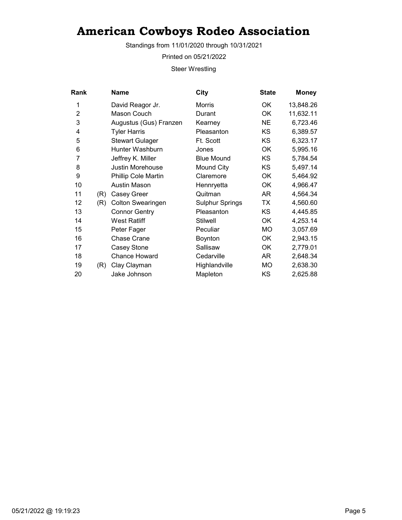Standings from 11/01/2020 through 10/31/2021

Printed on 05/21/2022

Steer Wrestling

| Rank           |     | <b>Name</b>              | City                   | <b>State</b> | <b>Money</b> |
|----------------|-----|--------------------------|------------------------|--------------|--------------|
| 1              |     | David Reagor Jr.         | Morris                 | ОK           | 13,848.26    |
| $\overline{2}$ |     | Mason Couch              | Durant                 | OK           | 11,632.11    |
| 3              |     | Augustus (Gus) Franzen   | Kearney                | <b>NE</b>    | 6,723.46     |
| 4              |     | <b>Tyler Harris</b>      | Pleasanton             | KS           | 6,389.57     |
| 5              |     | <b>Stewart Gulager</b>   | Ft. Scott              | KS.          | 6,323.17     |
| 6              |     | Hunter Washburn          | Jones                  | <b>OK</b>    | 5,995.16     |
| 7              |     | Jeffrey K. Miller        | <b>Blue Mound</b>      | KS           | 5,784.54     |
| 8              |     | Justin Morehouse         | Mound City             | KS           | 5,497.14     |
| 9              |     | Phillip Cole Martin      | Claremore              | ОK           | 5,464.92     |
| 10             |     | Austin Mason             | Hennryetta             | OK           | 4,966.47     |
| 11             | (R) | Casey Greer              | Quitman                | AR           | 4,564.34     |
| 12             | (R) | <b>Colton Swearingen</b> | <b>Sulphur Springs</b> | <b>TX</b>    | 4,560.60     |
| 13             |     | <b>Connor Gentry</b>     | Pleasanton             | KS           | 4,445.85     |
| 14             |     | <b>West Ratliff</b>      | <b>Stilwell</b>        | OK           | 4,253.14     |
| 15             |     | Peter Fager              | Peculiar               | МO           | 3,057.69     |
| 16             |     | <b>Chase Crane</b>       | Boynton                | OK           | 2,943.15     |
| 17             |     | Casey Stone              | Sallisaw               | OK           | 2,779.01     |
| 18             |     | <b>Chance Howard</b>     | Cedarville             | AR           | 2,648.34     |
| 19             | (R) | Clay Clayman             | Highlandville          | MO           | 2,638.30     |
| 20             |     | Jake Johnson             | Mapleton               | KS           | 2,625.88     |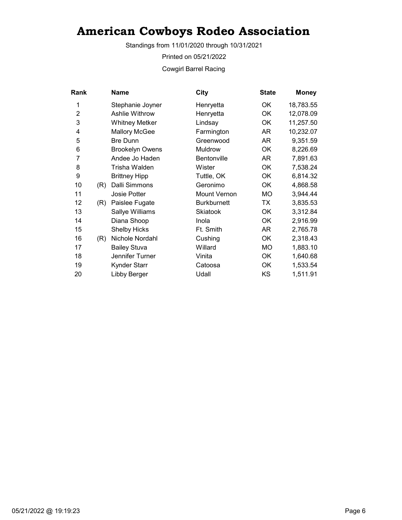Standings from 11/01/2020 through 10/31/2021

Printed on 05/21/2022

Cowgirl Barrel Racing

| Rank           |     | <b>Name</b>            | <b>City</b>         | <b>State</b> | <b>Money</b> |
|----------------|-----|------------------------|---------------------|--------------|--------------|
| 1              |     | Stephanie Joyner       | Henryetta           | ОK           | 18,783.55    |
| $\overline{2}$ |     | Ashlie Withrow         | Henryetta           | <b>OK</b>    | 12,078.09    |
| 3              |     | <b>Whitney Metker</b>  | Lindsay             | OK           | 11,257.50    |
| 4              |     | <b>Mallory McGee</b>   | Farmington          | AR.          | 10,232.07    |
| 5              |     | <b>Bre Dunn</b>        | Greenwood           | AR           | 9,351.59     |
| 6              |     | <b>Brookelyn Owens</b> | Muldrow             | OK           | 8,226.69     |
| 7              |     | Andee Jo Haden         | Bentonville         | AR           | 7,891.63     |
| 8              |     | Trisha Walden          | Wister              | OK           | 7,538.24     |
| 9              |     | <b>Brittney Hipp</b>   | Tuttle, OK          | OK           | 6,814.32     |
| 10             | (R) | Dalli Simmons          | Geronimo            | OK           | 4,868.58     |
| 11             |     | <b>Josie Potter</b>    | <b>Mount Vernon</b> | <b>MO</b>    | 3,944.44     |
| 12             | (R) | Paislee Fugate         | <b>Burkburnett</b>  | TX           | 3,835.53     |
| 13             |     | Sallye Williams        | Skiatook            | OK           | 3,312.84     |
| 14             |     | Diana Shoop            | Inola               | OK           | 2,916.99     |
| 15             |     | <b>Shelby Hicks</b>    | Ft. Smith           | AR           | 2,765.78     |
| 16             | (R) | Nichole Nordahl        | Cushing             | ОK           | 2,318.43     |
| 17             |     | <b>Bailey Stuva</b>    | Willard             | <b>MO</b>    | 1,883.10     |
| 18             |     | Jennifer Turner        | Vinita              | OK           | 1,640.68     |
| 19             |     | Kynder Starr           | Catoosa             | OK           | 1,533.54     |
| 20             |     | Libby Berger           | Udall               | KS           | 1,511.91     |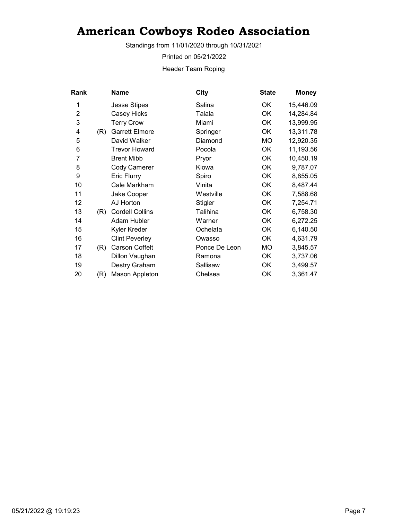Standings from 11/01/2020 through 10/31/2021

Printed on 05/21/2022

Header Team Roping

| Rank           |     | <b>Name</b>            | <b>City</b>   | <b>State</b> | <b>Money</b> |
|----------------|-----|------------------------|---------------|--------------|--------------|
| 1              |     | <b>Jesse Stipes</b>    | Salina        | ОK           | 15,446.09    |
| $\overline{2}$ |     | Casey Hicks            | Talala        | <b>OK</b>    | 14,284.84    |
| 3              |     | <b>Terry Crow</b>      | Miami         | OK           | 13,999.95    |
| 4              | (R) | <b>Garrett Elmore</b>  | Springer      | ОK           | 13,311.78    |
| 5              |     | David Walker           | Diamond       | МO           | 12,920.35    |
| 6              |     | <b>Trevor Howard</b>   | Pocola        | OK           | 11,193.56    |
| 7              |     | <b>Brent Mibb</b>      | Pryor         | OK           | 10,450.19    |
| 8              |     | Cody Camerer           | Kiowa         | <b>OK</b>    | 9,787.07     |
| 9              |     | <b>Eric Flurry</b>     | Spiro         | OK           | 8,855.05     |
| 10             |     | Cale Markham           | Vinita        | OK           | 8,487.44     |
| 11             |     | Jake Cooper            | Westville     | OK           | 7,588.68     |
| 12             |     | AJ Horton              | Stigler       | OK           | 7,254.71     |
| 13             | (R) | <b>Cordell Collins</b> | Talihina      | OK           | 6,758.30     |
| 14             |     | Adam Hubler            | Warner        | OK           | 6,272.25     |
| 15             |     | Kyler Kreder           | Ochelata      | OK           | 6,140.50     |
| 16             |     | <b>Clint Peverley</b>  | Owasso        | ОK           | 4,631.79     |
| 17             | (R) | <b>Carson Coffelt</b>  | Ponce De Leon | <b>MO</b>    | 3,845.57     |
| 18             |     | Dillon Vaughan         | Ramona        | OK           | 3,737.06     |
| 19             |     | Destry Graham          | Sallisaw      | OK           | 3,499.57     |
| 20             | (R) | Mason Appleton         | Chelsea       | OK           | 3,361.47     |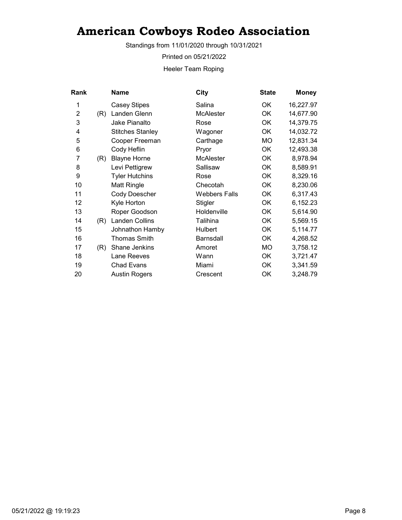Standings from 11/01/2020 through 10/31/2021

Printed on 05/21/2022

Heeler Team Roping

| Rank           |     | <b>Name</b>             | <b>City</b>          | <b>State</b> | <b>Money</b> |
|----------------|-----|-------------------------|----------------------|--------------|--------------|
| 1              |     | <b>Casey Stipes</b>     | Salina               | OK           | 16,227.97    |
| $\overline{2}$ | (R) | Landen Glenn            | <b>McAlester</b>     | <b>OK</b>    | 14,677.90    |
| 3              |     | Jake Pianalto           | Rose                 | OK           | 14,379.75    |
| 4              |     | <b>Stitches Stanley</b> | Wagoner              | <b>OK</b>    | 14,032.72    |
| 5              |     | Cooper Freeman          | Carthage             | MO           | 12,831.34    |
| 6              |     | Cody Heflin             | Pryor                | OK           | 12,493.38    |
| 7              | (R) | <b>Blayne Horne</b>     | McAlester            | OK           | 8,978.94     |
| 8              |     | Levi Pettigrew          | Sallisaw             | OK           | 8,589.91     |
| 9              |     | <b>Tyler Hutchins</b>   | Rose                 | OK           | 8,329.16     |
| 10             |     | Matt Ringle             | Checotah             | OK           | 8,230.06     |
| 11             |     | <b>Cody Doescher</b>    | <b>Webbers Falls</b> | OK           | 6,317.43     |
| 12             |     | Kyle Horton             | Stigler              | OK           | 6,152.23     |
| 13             |     | Roper Goodson           | Holdenville          | <b>OK</b>    | 5,614.90     |
| 14             | (R) | <b>Landen Collins</b>   | Talihina             | OK           | 5,569.15     |
| 15             |     | Johnathon Hamby         | <b>Hulbert</b>       | OK           | 5,114.77     |
| 16             |     | Thomas Smith            | <b>Barnsdall</b>     | 0K           | 4,268.52     |
| 17             | (R) | Shane Jenkins           | Amoret               | MO           | 3,758.12     |
| 18             |     | Lane Reeves             | Wann                 | OK           | 3,721.47     |
| 19             |     | <b>Chad Evans</b>       | Miami                | OK           | 3,341.59     |
| 20             |     | <b>Austin Rogers</b>    | Crescent             | OK           | 3,248.79     |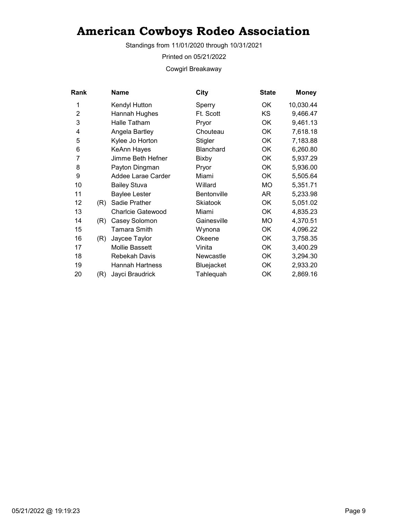Standings from 11/01/2020 through 10/31/2021

Printed on 05/21/2022

Cowgirl Breakaway

| Rank           |     | <b>Name</b>              | City               | <b>State</b> | <b>Money</b> |
|----------------|-----|--------------------------|--------------------|--------------|--------------|
| 1              |     | Kendyl Hutton            | Sperry             | OK           | 10,030.44    |
| $\overline{2}$ |     | Hannah Hughes            | Ft. Scott          | <b>KS</b>    | 9,466.47     |
| 3              |     | Halle Tatham             | Pryor              | OK           | 9,461.13     |
| 4              |     | Angela Bartley           | Chouteau           | ОK           | 7,618.18     |
| 5              |     | Kylee Jo Horton          | Stigler            | <b>OK</b>    | 7,183.88     |
| 6              |     | KeAnn Hayes              | <b>Blanchard</b>   | <b>OK</b>    | 6,260.80     |
| 7              |     | Jimme Beth Hefner        | <b>Bixby</b>       | OK           | 5,937.29     |
| 8              |     | Payton Dingman           | Pryor              | OK           | 5,936.00     |
| 9              |     | Addee Larae Carder       | Miami              | OK           | 5,505.64     |
| 10             |     | <b>Bailey Stuva</b>      | Willard            | МO           | 5,351.71     |
| 11             |     | <b>Baylee Lester</b>     | <b>Bentonville</b> | AR           | 5,233.98     |
| 12             | (R) | Sadie Prather            | <b>Skiatook</b>    | ОK           | 5,051.02     |
| 13             |     | <b>Charlcie Gatewood</b> | Miami              | OK           | 4,835.23     |
| 14             | (R) | Casey Solomon            | Gainesville        | <b>MO</b>    | 4,370.51     |
| 15             |     | Tamara Smith             | Wynona             | OK           | 4,096.22     |
| 16             | (R) | Jaycee Taylor            | Okeene             | ОK           | 3,758.35     |
| 17             |     | <b>Mollie Bassett</b>    | Vinita             | <b>OK</b>    | 3,400.29     |
| 18             |     | Rebekah Davis            | Newcastle          | OK           | 3,294.30     |
| 19             |     | Hannah Hartness          | Bluejacket         | OK           | 2,933.20     |
| 20             | (R) | Jayci Braudrick          | Tahlequah          | OK           | 2,869.16     |